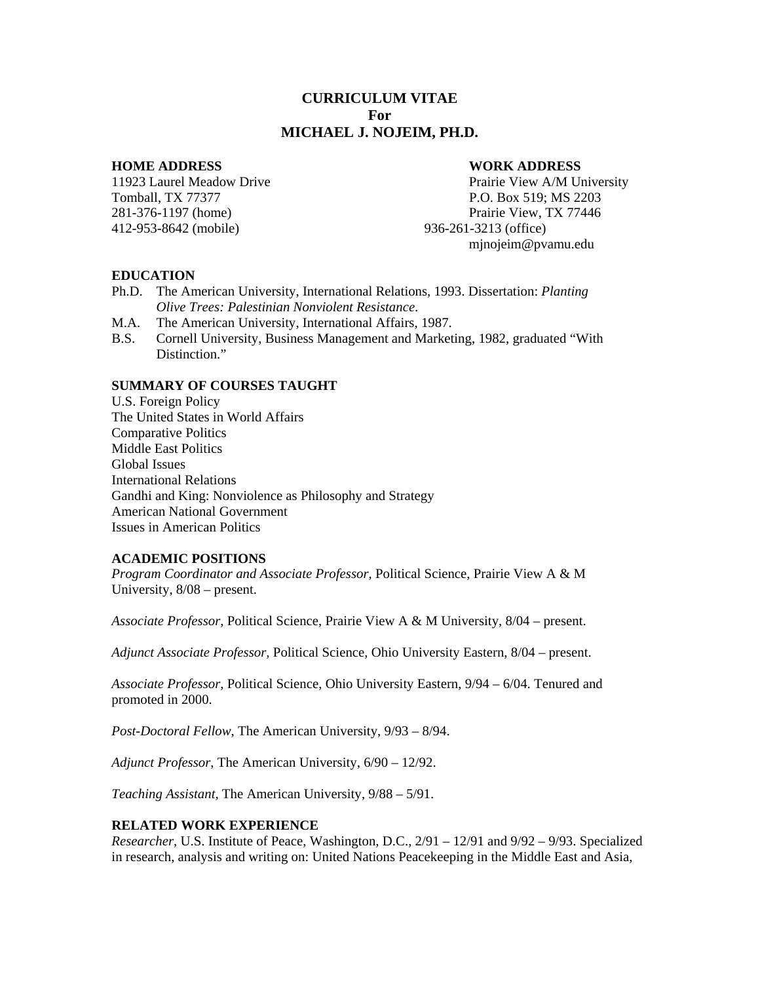# **CURRICULUM VITAE For MICHAEL J. NOJEIM, PH.D.**

412-953-8642 (mobile) 936-261-3213 (office)

#### **HOME ADDRESS WORK ADDRESS**

11923 Laurel Meadow Drive Prairie View A/M University Tomball, TX 77377 P.O. Box 519; MS 2203 281-376-1197 (home) Prairie View, TX 77446 mjnojeim@pvamu.edu

#### **EDUCATION**

- Ph.D. The American University, International Relations, 1993. Dissertation: *Planting Olive Trees: Palestinian Nonviolent Resistance*.
- M.A. The American University, International Affairs, 1987.
- B.S. Cornell University, Business Management and Marketing, 1982, graduated "With Distinction."

## **SUMMARY OF COURSES TAUGHT**

U.S. Foreign Policy The United States in World Affairs Comparative Politics Middle East Politics Global Issues International Relations Gandhi and King: Nonviolence as Philosophy and Strategy American National Government Issues in American Politics

## **ACADEMIC POSITIONS**

*Program Coordinator and Associate Professor,* Political Science, Prairie View A & M University, 8/08 – present.

*Associate Professor*, Political Science, Prairie View A & M University, 8/04 – present.

*Adjunct Associate Professor,* Political Science, Ohio University Eastern, 8/04 – present.

*Associate Professor*, Political Science, Ohio University Eastern, 9/94 – 6/04. Tenured and promoted in 2000.

*Post-Doctoral Fellow*, The American University, 9/93 – 8/94.

*Adjunct Professor*, The American University, 6/90 – 12/92.

*Teaching Assistant,* The American University, 9/88 – 5/91.

#### **RELATED WORK EXPERIENCE**

*Researcher*, U.S. Institute of Peace, Washington, D.C., 2/91 – 12/91 and 9/92 – 9/93. Specialized in research, analysis and writing on: United Nations Peacekeeping in the Middle East and Asia,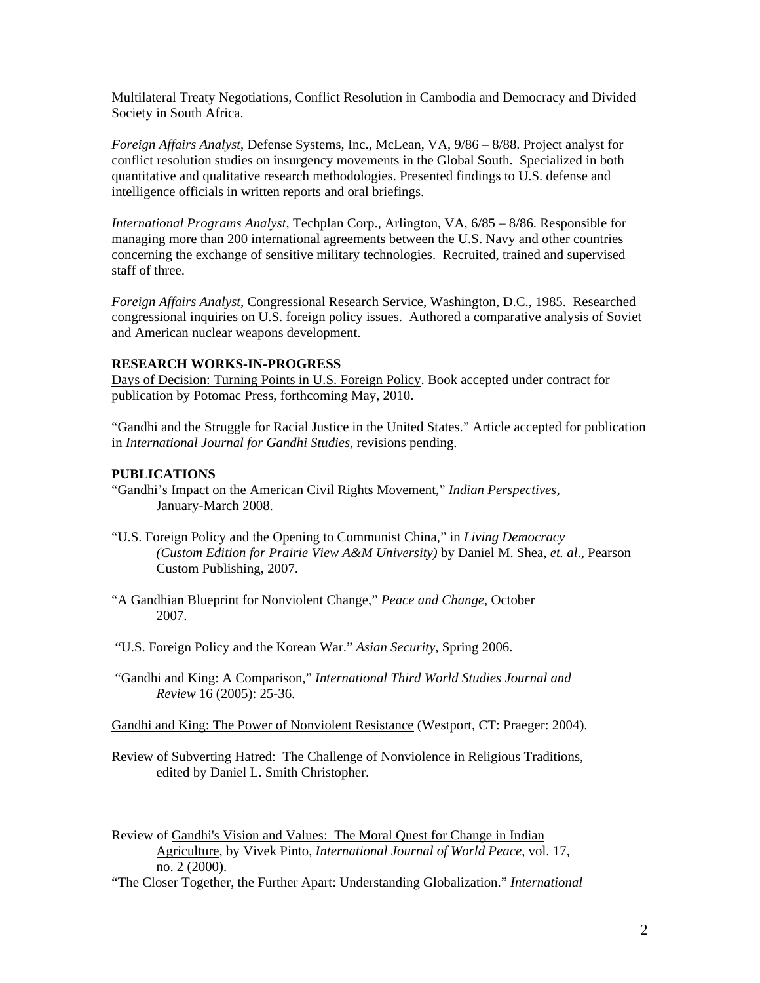Multilateral Treaty Negotiations, Conflict Resolution in Cambodia and Democracy and Divided Society in South Africa.

*Foreign Affairs Analyst*, Defense Systems, Inc., McLean, VA, 9/86 – 8/88. Project analyst for conflict resolution studies on insurgency movements in the Global South. Specialized in both quantitative and qualitative research methodologies. Presented findings to U.S. defense and intelligence officials in written reports and oral briefings.

*International Programs Analyst*, Techplan Corp., Arlington, VA, 6/85 – 8/86. Responsible for managing more than 200 international agreements between the U.S. Navy and other countries concerning the exchange of sensitive military technologies. Recruited, trained and supervised staff of three.

*Foreign Affairs Analyst*, Congressional Research Service, Washington, D.C., 1985. Researched congressional inquiries on U.S. foreign policy issues. Authored a comparative analysis of Soviet and American nuclear weapons development.

## **RESEARCH WORKS-IN-PROGRESS**

Days of Decision: Turning Points in U.S. Foreign Policy. Book accepted under contract for publication by Potomac Press, forthcoming May, 2010.

"Gandhi and the Struggle for Racial Justice in the United States." Article accepted for publication in *International Journal for Gandhi Studies*, revisions pending.

## **PUBLICATIONS**

- "Gandhi's Impact on the American Civil Rights Movement," *Indian Perspectives,* January-March 2008.
- "U.S. Foreign Policy and the Opening to Communist China," in *Living Democracy (Custom Edition for Prairie View A&M University)* by Daniel M. Shea, *et. al*., Pearson Custom Publishing, 2007.
- "A Gandhian Blueprint for Nonviolent Change," *Peace and Change,* October 2007.
- "U.S. Foreign Policy and the Korean War." *Asian Security*, Spring 2006.
- "Gandhi and King: A Comparison," *International Third World Studies Journal and Review* 16 (2005): 25-36.

Gandhi and King: The Power of Nonviolent Resistance (Westport, CT: Praeger: 2004).

- Review of Subverting Hatred: The Challenge of Nonviolence in Religious Traditions, edited by Daniel L. Smith Christopher.
- Review of Gandhi's Vision and Values: The Moral Quest for Change in Indian Agriculture, by Vivek Pinto, *International Journal of World Peace*, vol. 17, no. 2 (2000).
- "The Closer Together, the Further Apart: Understanding Globalization." *International*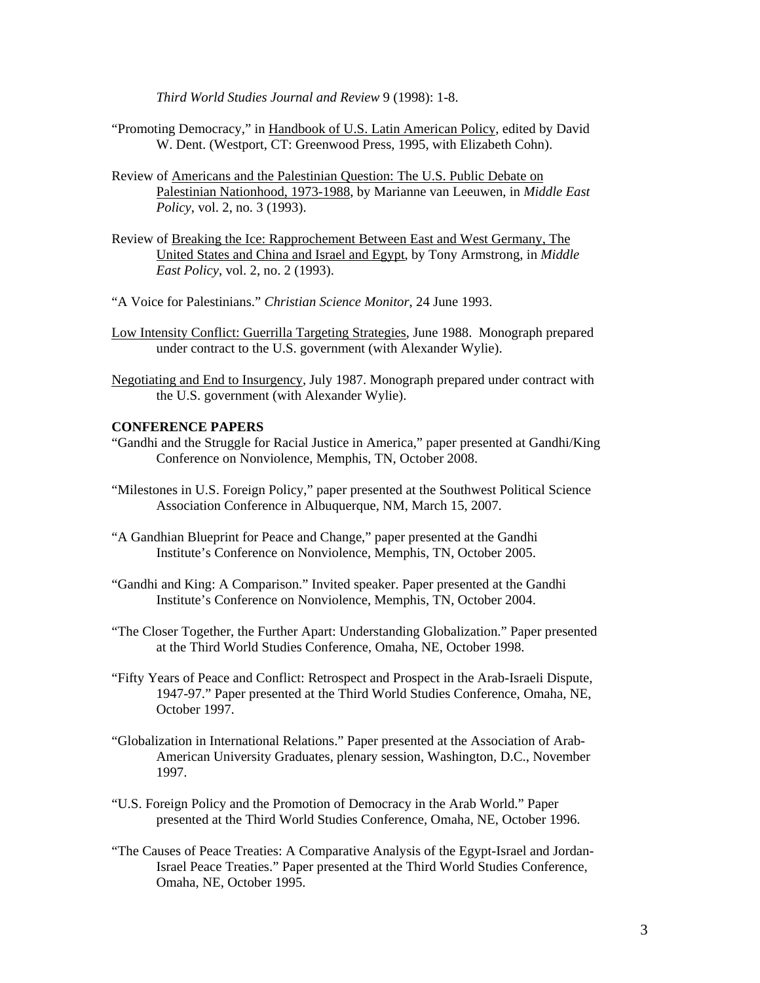*Third World Studies Journal and Review* 9 (1998): 1-8.

- "Promoting Democracy," in Handbook of U.S. Latin American Policy, edited by David W. Dent. (Westport, CT: Greenwood Press, 1995, with Elizabeth Cohn).
- Review of Americans and the Palestinian Question: The U.S. Public Debate on Palestinian Nationhood, 1973-1988, by Marianne van Leeuwen, in *Middle East Policy*, vol. 2, no. 3 (1993).
- Review of Breaking the Ice: Rapprochement Between East and West Germany, The United States and China and Israel and Egypt, by Tony Armstrong, in *Middle East Policy*, vol. 2, no. 2 (1993).

"A Voice for Palestinians." *Christian Science Monitor*, 24 June 1993.

- Low Intensity Conflict: Guerrilla Targeting Strategies, June 1988. Monograph prepared under contract to the U.S. government (with Alexander Wylie).
- Negotiating and End to Insurgency, July 1987. Monograph prepared under contract with the U.S. government (with Alexander Wylie).

## **CONFERENCE PAPERS**

- "Gandhi and the Struggle for Racial Justice in America," paper presented at Gandhi/King Conference on Nonviolence, Memphis, TN, October 2008.
- "Milestones in U.S. Foreign Policy," paper presented at the Southwest Political Science Association Conference in Albuquerque, NM, March 15, 2007.
- "A Gandhian Blueprint for Peace and Change," paper presented at the Gandhi Institute's Conference on Nonviolence, Memphis, TN, October 2005.
- "Gandhi and King: A Comparison." Invited speaker. Paper presented at the Gandhi Institute's Conference on Nonviolence, Memphis, TN, October 2004.
- "The Closer Together, the Further Apart: Understanding Globalization." Paper presented at the Third World Studies Conference, Omaha, NE, October 1998.
- "Fifty Years of Peace and Conflict: Retrospect and Prospect in the Arab-Israeli Dispute, 1947-97." Paper presented at the Third World Studies Conference, Omaha, NE, October 1997.
- "Globalization in International Relations." Paper presented at the Association of Arab- American University Graduates, plenary session, Washington, D.C., November 1997.
- "U.S. Foreign Policy and the Promotion of Democracy in the Arab World." Paper presented at the Third World Studies Conference, Omaha, NE, October 1996.
- "The Causes of Peace Treaties: A Comparative Analysis of the Egypt-Israel and Jordan- Israel Peace Treaties." Paper presented at the Third World Studies Conference, Omaha, NE, October 1995.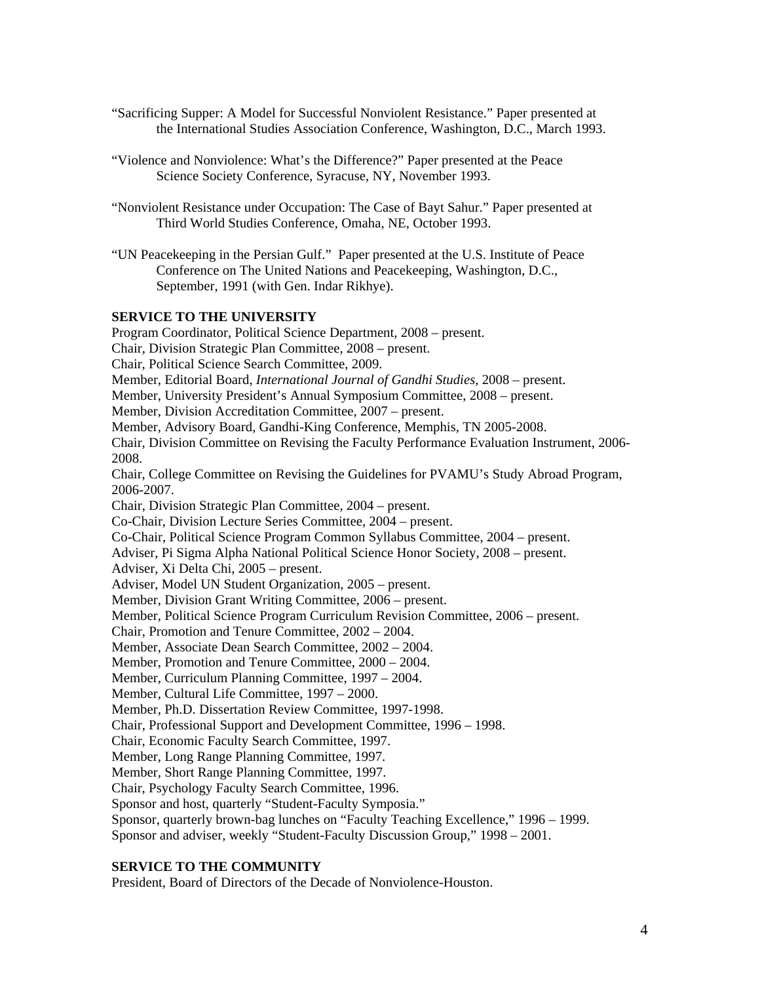- "Sacrificing Supper: A Model for Successful Nonviolent Resistance." Paper presented at the International Studies Association Conference, Washington, D.C., March 1993.
- "Violence and Nonviolence: What's the Difference?" Paper presented at the Peace Science Society Conference, Syracuse, NY, November 1993.
- "Nonviolent Resistance under Occupation: The Case of Bayt Sahur." Paper presented at Third World Studies Conference, Omaha, NE, October 1993.
- "UN Peacekeeping in the Persian Gulf." Paper presented at the U.S. Institute of Peace Conference on The United Nations and Peacekeeping, Washington, D.C., September, 1991 (with Gen. Indar Rikhye).

## **SERVICE TO THE UNIVERSITY**

Program Coordinator, Political Science Department, 2008 – present. Chair, Division Strategic Plan Committee, 2008 – present. Chair, Political Science Search Committee, 2009. Member, Editorial Board, *International Journal of Gandhi Studies*, 2008 – present. Member, University President's Annual Symposium Committee, 2008 – present. Member, Division Accreditation Committee, 2007 – present. Member, Advisory Board, Gandhi-King Conference, Memphis, TN 2005-2008. Chair, Division Committee on Revising the Faculty Performance Evaluation Instrument, 2006- 2008. Chair, College Committee on Revising the Guidelines for PVAMU's Study Abroad Program, 2006-2007. Chair, Division Strategic Plan Committee, 2004 – present. Co-Chair, Division Lecture Series Committee, 2004 – present. Co-Chair, Political Science Program Common Syllabus Committee, 2004 – present. Adviser, Pi Sigma Alpha National Political Science Honor Society, 2008 – present. Adviser, Xi Delta Chi, 2005 – present. Adviser, Model UN Student Organization, 2005 – present. Member, Division Grant Writing Committee, 2006 – present. Member, Political Science Program Curriculum Revision Committee, 2006 – present. Chair, Promotion and Tenure Committee, 2002 – 2004. Member, Associate Dean Search Committee, 2002 – 2004. Member, Promotion and Tenure Committee, 2000 – 2004. Member, Curriculum Planning Committee, 1997 – 2004. Member, Cultural Life Committee, 1997 – 2000. Member, Ph.D. Dissertation Review Committee, 1997-1998. Chair, Professional Support and Development Committee, 1996 – 1998. Chair, Economic Faculty Search Committee, 1997. Member, Long Range Planning Committee, 1997. Member, Short Range Planning Committee, 1997. Chair, Psychology Faculty Search Committee, 1996. Sponsor and host, quarterly "Student-Faculty Symposia." Sponsor, quarterly brown-bag lunches on "Faculty Teaching Excellence," 1996 – 1999. Sponsor and adviser, weekly "Student-Faculty Discussion Group," 1998 – 2001.

# **SERVICE TO THE COMMUNITY**

President, Board of Directors of the Decade of Nonviolence-Houston.